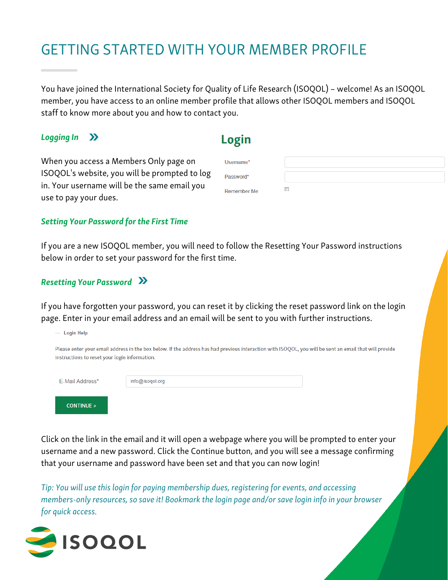### GETTING STARTED WITH YOUR MEMBER PROFILE

You have joined the International Society for Quality of Life Research (ISOQOL) – welcome! As an ISOQOL member, you have access to an online member profile that allows other ISOQOL members and ISOQOL staff to know more about you and how to contact you.

### Logging In **[>>](https://isoqol.execinc.com/edibo/Login)**

**Login** 

| When you access a Members Only page on        | Username*          |  |
|-----------------------------------------------|--------------------|--|
| ISOQOL's website, you will be prompted to log | Password*          |  |
| in. Your username will be the same email you  | <b>Remember Me</b> |  |
| use to pay your dues.                         |                    |  |

#### Setting Your Password for the First Time

If you are a new ISOQOL member, you will need to follow the Resetting Your Password instructions below in order to set your password for the first time.

### Resetting Your Password **[>>](https://isoqol.execinc.com/edibo/LoginHelp)**

If you have forgotten your password, you can reset it by clicking the reset password link on the login page. Enter in your email address and an email will be sent to you with further instructions.

| <b>Login Help</b><br>$\overline{\phantom{a}}$ |                                                                                                                                                        |  |
|-----------------------------------------------|--------------------------------------------------------------------------------------------------------------------------------------------------------|--|
| instructions to reset your login information. | Please enter your email address in the box below. If the address has had previous interaction with ISOQOL, you will be sent an email that will provide |  |
| E-Mail Address*                               | info@isogol.org                                                                                                                                        |  |
| <b>CONTINUE &gt;</b>                          |                                                                                                                                                        |  |

Click on the link in the email and it will open a webpage where you will be prompted to enter your username and a new password. Click the Continue button, and you will see a message confirming that your username and password have been set and that you can now login!

Tip: You will use thislogin for paying membership dues, registering for events, and accessing members-only resources, so save it! Bookmark the login page and/or save login info in your browser for quick access.

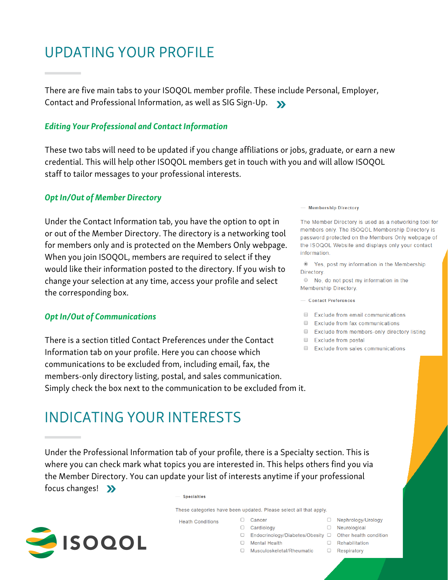## UPDATING YOUR PROFILE

There are five main tabs to your ISOQOL member profile. These include Personal, Employer, Contact and Professional Information, as well as SIG Sign-Up. **[>>](https://isoqol.execinc.com/edibo/Profile)**

#### **Editing Your Professional and Contact Information**

These two tabs will need to be updated if you change affiliations or jobs, graduate, or earn a new credential. This will help other ISOQOL members get in touch with you and will allow ISOQOL staff to tailor messages to your professional interests.

#### **Opt In/Out of Member Directory**

Under the Contact Information tab, you have the option to opt in or out of the Member Directory. The directory is a networking tool for members only and is protected on the Members Only webpage. When you join ISOQOL, members are required to select if they would like their information posted to the directory. If you wish to change your selection at any time, access your profile and select the corresponding box.

#### **Opt In/Out of Communications**

There is a section titled Contact Preferences under the Contact Information tab on your profile. Here you can choose which communications to be excluded from, including email, fax, the members-only directory listing, postal, and sales communication. Simply check the box next to the communication to be excluded from it.

- Membership Directory

The Member Directory is used as a networking tool for members only. The ISOQOL Membership Directory is password protected on the Members Only webpage of the ISOQOL Website and displays only your contact information.

<sup>O</sup> Yes, post my information in the Membership Directory.

● No, do not post my information in the **Membership Directory.** 

#### - Contact Preferences

Exclude from email communications

- $\Box$  Exclude from fax communications
- Exclude from members-only directory listing
- Exclude from postal
- Exclude from sales communications

# INDICATING YOUR INTERESTS

Under the Professional Information tab of your profile, there is a Specialty section. This is where you can check mark what topics you are interested in. This helps others find you via the Member Directory. You can update your list of interests anytime if your professional focus changes! **[>>](https://isoqol.execinc.com/edibo/Profile)**

- Specialties

These categories have been updated. Please select all that apply. □ Cancer

**Heath Conditions** 



- □ Endocrinology/Diabetes/Obesity □ Other health condition
- $\Box$  Mental Health  $\Box$  Rehabilitation
- □ Musculoskeletal/Rheumatic
- □ Nephrology/Urology
- $\Box$  Cardiology  $\Box$  Neurological
	-
	- **D** Respiratory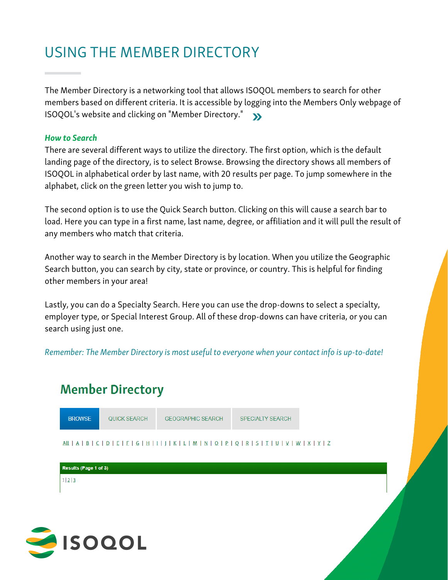## USING THE MEMBER DIRECTORY

The Member Directory is a networking tool that allows ISOQOL members to search for other members based on different criteria. It is accessible by logging into the Members Only webpage of ISOQOL's website and clicking on "Member Directory." **[>>](https://isoqol.execinc.com/edibo/MemberDirectory)**

#### How to Search

There are several different ways to utilize the directory. The first option, which is the default landing page of the directory, is to select Browse. Browsing the directory shows all members of ISOQOL in alphabetical order by last name, with 20 results per page. To jump somewhere in the alphabet, click on the green letter you wish to jump to.

The second option is to use the Quick Search button. Clicking on this will cause a search bar to load. Here you can type in a first name, last name, degree, or affiliation and it will pull the result of any members who match that criteria.

Another way to search in the Member Directory is by location. When you utilize the Geographic Search button, you can search by city, state or province, or country. This is helpful for finding other members in your area!

Lastly, you can do a Specialty Search. Here you can use the drop-downs to select a specialty, employer type, or Special Interest Group. All of these drop-downs can have criteria, or you can search using just one.

Remember: The Member Directory is most useful to everyone when your contact info is up-to-date!

### **Member Directory**



| Results (Page 1 of 3) |  |
|-----------------------|--|
| 1 2 3                 |  |
|                       |  |

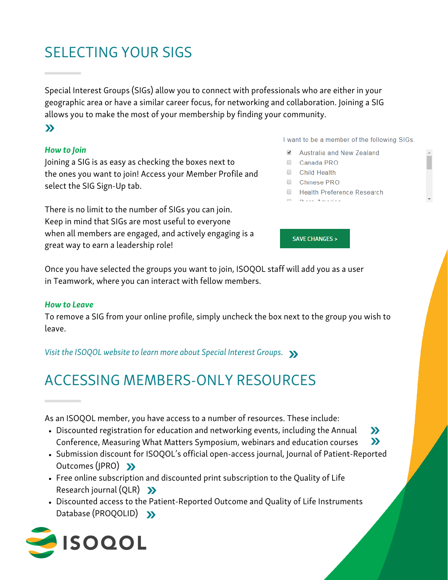# SELECTING YOUR SIGS

Special Interest Groups (SIGs) allow you to connect with professionals who are either in your geographic area or have a similar career focus, for networking and collaboration. Joining a SIG allows you to make the most of your membership by finding your community.

### **[>>](https://isoqol.execinc.com/edibo/Profile)**

### How to Join

Joining a SIG is as easy as checking the boxes next to the ones you want to join! Access your Member Profile and select the SIG Sign-Up tab.

There is no limit to the number of SIGs you can join. Keep in mind that SIGs are most useful to everyone when all members are engaged, and actively engaging is a great way to earn a leadership role!

I want to be a member of the following SIGs.

- Australia and New Zealand
- Canada PRO
- Child Health
- Chinese PRO
- Health Preference Research
- man and an analysis of

**SAVE CHANGES >** 

Once you have selected the groups you want to join, ISOQOL staff will add you as a user in Teamwork, where you can interact with fellow members.

#### How to Leave

To remove a SIG from your online profile, simply uncheck the box next to the group you wish to leave.

Visit the ISOQOL website to learn more about Special Interest Groups. **[>>](https://www.isoqol.org/sigs/)**

## ACCESSING MEMBERS-ONLY RESOURCES

As an ISOQOL member, you have access to a number of resources. These include:

- Discounted registration for education and networking events, including the Annual Conference, Measuring What Matters Symposium, webinars and education courses **[>>](https://www.isoqol.org/events/) [>>](https://www.isoqol.org/education)**
- Submission discount for ISOQOL's official open-access journal, Journal of [Patient-Reported](http://www.isoqol.org/events/#mwm) Outcomes (JPRO) **[>>](https://isoqol.execinc.com/edibo)**
- Free online subscription and discounted print subscription to the Quality of Life Research journal (QLR) **[>>](https://isoqol.execinc.com/edibo)**
- Discounted access to the Patient-Reported Outcome and Quality of Life Instruments Database (PROQOLID) **[>>](https://eprovide.mapi-trust.org/subscriptions)**